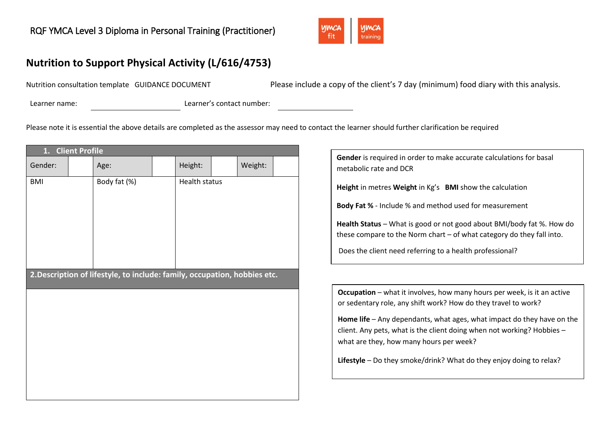

# **Nutrition to Support Physical Activity (L/616/4753)**

Nutrition consultation template GUIDANCE DOCUMENT Please include a copy of the client's 7 day (minimum) food diary with this analysis.

Learner name: Learner's contact number:

Please note it is essential the above details are completed as the assessor may need to contact the learner should further clarification be required

| 1.<br><b>Client Profile</b>                                               |              |  |                      |         |  |
|---------------------------------------------------------------------------|--------------|--|----------------------|---------|--|
| Gender:                                                                   | Age:         |  | Height:              | Weight: |  |
| <b>BMI</b>                                                                | Body fat (%) |  | <b>Health status</b> |         |  |
| 2. Description of lifestyle, to include: family, occupation, hobbies etc. |              |  |                      |         |  |



**Lifestyle** – Do they smoke/drink? What do they enjoy doing to relax?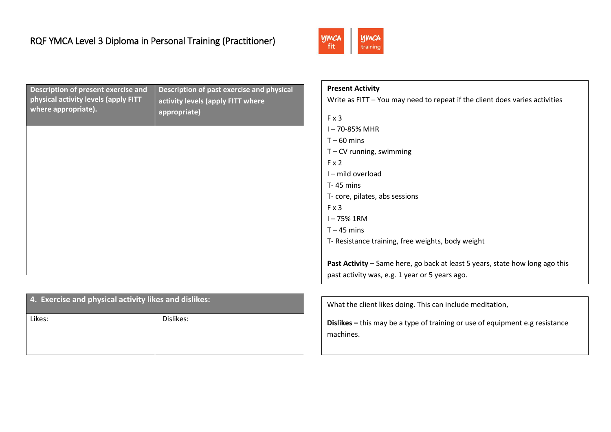

| Description of present exercise and<br>physical activity levels (apply FITT<br>where appropriate). | Description of past exercise and physical<br>activity levels (apply FITT where<br>appropriate) |
|----------------------------------------------------------------------------------------------------|------------------------------------------------------------------------------------------------|
|                                                                                                    |                                                                                                |
|                                                                                                    |                                                                                                |
|                                                                                                    |                                                                                                |
|                                                                                                    |                                                                                                |

| 4. Exercise and physical activity likes and dislikes: |           |  |
|-------------------------------------------------------|-----------|--|
| Likes:                                                | Dislikes: |  |
|                                                       |           |  |

| <b>Present Activity</b> |                                                                                     |
|-------------------------|-------------------------------------------------------------------------------------|
|                         | Write as $FIT - You$ may need to repeat if the client does varies activities        |
| Fx3                     |                                                                                     |
| I-70-85% MHR            |                                                                                     |
| $T - 60$ mins           |                                                                                     |
|                         | $T$ – CV running, swimming                                                          |
| Fx2                     |                                                                                     |
| I-mild overload         |                                                                                     |
| $T - 45$ mins           |                                                                                     |
|                         | T- core, pilates, abs sessions                                                      |
| Fx3                     |                                                                                     |
| I-75% 1RM               |                                                                                     |
| $T - 45$ mins           |                                                                                     |
|                         | T- Resistance training, free weights, body weight                                   |
|                         |                                                                                     |
|                         | <b>Past Activity</b> – Same here, go back at least 5 years, state how long ago this |
|                         | past activity was, e.g. 1 year or 5 years ago.                                      |

What the client likes doing. This can include meditation,

**Dislikes –** this may be a type of training or use of equipment e.g resistance machines.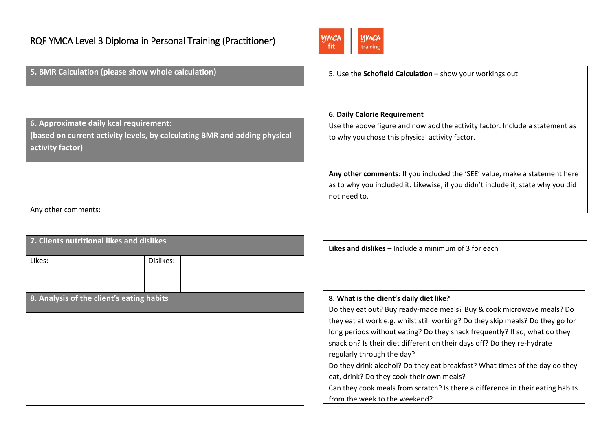**5. BMR Calculation (please show whole calculation)**

**6. Approximate daily kcal requirement:**

**(based on current activity levels, by calculating BMR and adding physical activity factor)**

Any other comments:

| 7. Clients nutritional likes and dislikes |           |  |  |
|-------------------------------------------|-----------|--|--|
| Likes:                                    | Dislikes: |  |  |
| 8. Analysis of the client's eating habits |           |  |  |
|                                           |           |  |  |
|                                           |           |  |  |
|                                           |           |  |  |
|                                           |           |  |  |
|                                           |           |  |  |



5. Use the **Schofield Calculation** – show your workings out

### **6. Daily Calorie Requirement**

Use the above figure and now add the activity factor. Include a statement as to why you chose this physical activity factor.

**Any other comments**: If you included the 'SEE' value, make a statement here as to why you included it. Likewise, if you didn't include it, state why you did not need to.

**Likes and dislikes** – Include a minimum of 3 for each

### **8. What is the client's daily diet like?**

Do they eat out? Buy ready-made meals? Buy & cook microwave meals? Do they eat at work e.g. whilst still working? Do they skip meals? Do they go for long periods without eating? Do they snack frequently? If so, what do they snack on? Is their diet different on their days off? Do they re-hydrate regularly through the day?

Do they drink alcohol? Do they eat breakfast? What times of the day do they eat, drink? Do they cook their own meals?

Can they cook meals from scratch? Is there a difference in their eating habits from the week to the weekend?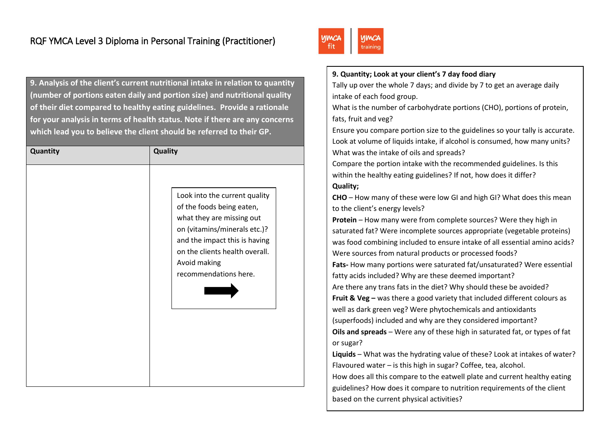**9. Analysis of the client's current nutritional intake in relation to quantity (number of portions eaten daily and portion size) and nutritional quality of their diet compared to healthy eating guidelines. Provide a rationale for your analysis in terms of health status. Note if there are any concerns which lead you to believe the client should be referred to their GP.**

| Quantity | <b>Quality</b>                                                                                                                                                                                                                      |
|----------|-------------------------------------------------------------------------------------------------------------------------------------------------------------------------------------------------------------------------------------|
|          | Look into the current quality<br>of the foods being eaten,<br>what they are missing out<br>on (vitamins/minerals etc.)?<br>and the impact this is having<br>on the clients health overall.<br>Avoid making<br>recommendations here. |



### **9. Quantity; Look at your client's 7 day food diary**

Tally up over the whole 7 days; and divide by 7 to get an average daily intake of each food group.

What is the number of carbohydrate portions (CHO), portions of protein, fats, fruit and veg?

Ensure you compare portion size to the guidelines so your tally is accurate. Look at volume of liquids intake, if alcohol is consumed, how many units? What was the intake of oils and spreads?

Compare the portion intake with the recommended guidelines. Is this within the healthy eating guidelines? If not, how does it differ? **Quality;**

**CHO** – How many of these were low GI and high GI? What does this mean to the client's energy levels?

**Protein** – How many were from complete sources? Were they high in saturated fat? Were incomplete sources appropriate (vegetable proteins) was food combining included to ensure intake of all essential amino acids? Were sources from natural products or processed foods? **Fats-** How many portions were saturated fat/unsaturated? Were essential fatty acids included? Why are these deemed important? Are there any trans fats in the diet? Why should these be avoided? **Fruit & Veg** – was there a good variety that included different colours as well as dark green veg? Were phytochemicals and antioxidants (superfoods) included and why are they considered important? **Oils and spreads** – Were any of these high in saturated fat, or types of fat or sugar?

**Liquids** – What was the hydrating value of these? Look at intakes of water? Flavoured water – is this high in sugar? Coffee, tea, alcohol.

How does all this compare to the eatwell plate and current healthy eating guidelines? How does it compare to nutrition requirements of the client based on the current physical activities?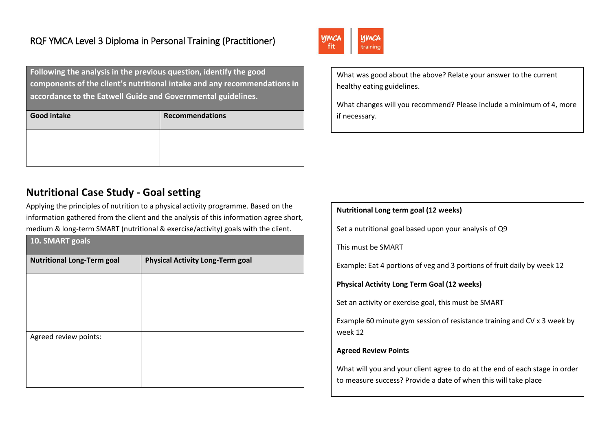**Following the analysis in the previous question, identify the good components of the client's nutritional intake and any recommendations in accordance to the Eatwell Guide and Governmental guidelines.** 

| <b>Good intake</b> | <b>Recommendations</b> |
|--------------------|------------------------|
|                    |                        |
|                    |                        |

## **Nutritional Case Study - Goal setting**

Applying the principles of nutrition to a physical activity programme. Based on the information gathered from the client and the analysis of this information agree short, medium & long-term SMART (nutritional & exercise/activity) goals with the client.

| 10. SMART goals                   |                                         |  |  |
|-----------------------------------|-----------------------------------------|--|--|
| <b>Nutritional Long-Term goal</b> | <b>Physical Activity Long-Term goal</b> |  |  |
|                                   |                                         |  |  |
|                                   |                                         |  |  |
|                                   |                                         |  |  |
| Agreed review points:             |                                         |  |  |
|                                   |                                         |  |  |
|                                   |                                         |  |  |



What was good about the above? Relate your answer to the current healthy eating guidelines.

What changes will you recommend? Please include a minimum of 4, more if necessary.

| Nutritional Long term goal (12 weeks)                                                                                                          |
|------------------------------------------------------------------------------------------------------------------------------------------------|
| Set a nutritional goal based upon your analysis of Q9                                                                                          |
| This must be SMART                                                                                                                             |
| Example: Eat 4 portions of veg and 3 portions of fruit daily by week 12                                                                        |
| <b>Physical Activity Long Term Goal (12 weeks)</b>                                                                                             |
| Set an activity or exercise goal, this must be SMART                                                                                           |
| Example 60 minute gym session of resistance training and CV x 3 week by<br>week 12                                                             |
| <b>Agreed Review Points</b>                                                                                                                    |
| What will you and your client agree to do at the end of each stage in order<br>to measure success? Provide a date of when this will take place |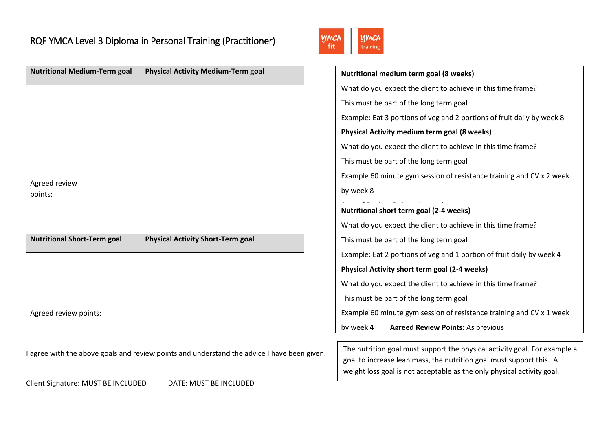| <b>Nutritional Medium-Term goal</b> | <b>Physical Activity Medium-Term goal</b> |
|-------------------------------------|-------------------------------------------|
|                                     |                                           |
|                                     |                                           |
|                                     |                                           |
|                                     |                                           |
|                                     |                                           |
| Agreed review                       |                                           |
| points:                             |                                           |
|                                     |                                           |
| <b>Nutritional Short-Term goal</b>  | <b>Physical Activity Short-Term goal</b>  |
|                                     |                                           |
|                                     |                                           |
|                                     |                                           |
|                                     |                                           |
| Agreed review points:               |                                           |

I agree with the above goals and review points and understand the advice I have been given.

Client Signature: MUST BE INCLUDED DATE: MUST BE INCLUDED



| Nutritional medium term goal (8 weeks)                                 |  |  |  |  |
|------------------------------------------------------------------------|--|--|--|--|
| What do you expect the client to achieve in this time frame?           |  |  |  |  |
| This must be part of the long term goal                                |  |  |  |  |
| Example: Eat 3 portions of veg and 2 portions of fruit daily by week 8 |  |  |  |  |
| <b>Physical Activity medium term goal (8 weeks)</b>                    |  |  |  |  |
| What do you expect the client to achieve in this time frame?           |  |  |  |  |
| This must be part of the long term goal                                |  |  |  |  |
| Example 60 minute gym session of resistance training and CV x 2 week   |  |  |  |  |
| by week 8                                                              |  |  |  |  |
| Nutritional short term goal (2-4 weeks)                                |  |  |  |  |
| What do you expect the client to achieve in this time frame?           |  |  |  |  |
| This must be part of the long term goal                                |  |  |  |  |
|                                                                        |  |  |  |  |
| Example: Eat 2 portions of veg and 1 portion of fruit daily by week 4  |  |  |  |  |
| Physical Activity short term goal (2-4 weeks)                          |  |  |  |  |
| What do you expect the client to achieve in this time frame?           |  |  |  |  |
| This must be part of the long term goal                                |  |  |  |  |
| Example 60 minute gym session of resistance training and CV x 1 week   |  |  |  |  |
| by week 4<br><b>Agreed Review Points: As previous</b>                  |  |  |  |  |
|                                                                        |  |  |  |  |

The nutrition goal must support the physical activity goal. For example a goal to increase lean mass, the nutrition goal must support this. A weight loss goal is not acceptable as the only physical activity goal.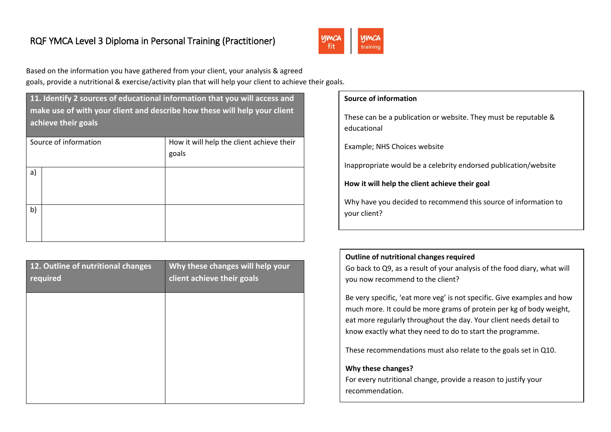

Based on the information you have gathered from your client, your analysis & agreed goals, provide a nutritional & exercise/activity plan that will help your client to achieve their goals.

**11. Identify 2 sources of educational information that you will access and make use of with your client and describe how these will help your client achieve their goals**

| Source of information | How it will help the client achieve their<br>goals |
|-----------------------|----------------------------------------------------|
| a)                    |                                                    |
| b)                    |                                                    |

| 12. Outline of nutritional changes<br>required | Why these changes will help your<br>client achieve their goals |
|------------------------------------------------|----------------------------------------------------------------|
|                                                |                                                                |
|                                                |                                                                |
|                                                |                                                                |
|                                                |                                                                |

| Source of information                                                           |
|---------------------------------------------------------------------------------|
| These can be a publication or website. They must be reputable &<br>educational  |
| Example; NHS Choices website                                                    |
| Inappropriate would be a celebrity endorsed publication/website                 |
| How it will help the client achieve their goal                                  |
| Why have you decided to recommend this source of information to<br>vour client? |

### **Outline of nutritional changes required**

Go back to Q9, as a result of your analysis of the food diary, what will you now recommend to the client?

Be very specific, 'eat more veg' is not specific. Give examples and how much more. It could be more grams of protein per kg of body weight, eat more regularly throughout the day. Your client needs detail to know exactly what they need to do to start the programme.

These recommendations must also relate to the goals set in Q10.

#### **Why these changes?**

For every nutritional change, provide a reason to justify your recommendation.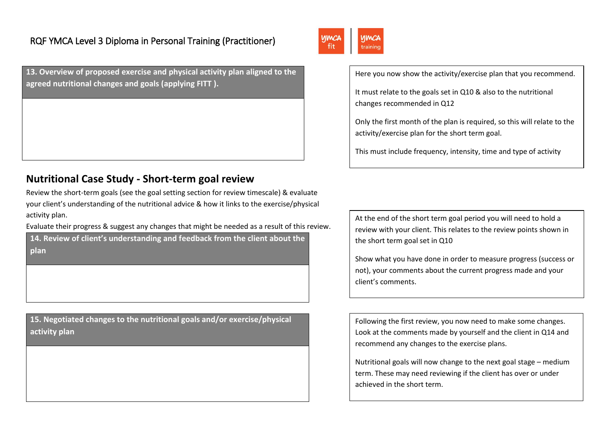**13. Overview of proposed exercise and physical activity plan aligned to the agreed nutritional changes and goals (applying FITT ).**

## **Nutritional Case Study - Short-term goal review**

Review the short-term goals (see the goal setting section for review timescale) & evaluate your client's understanding of the nutritional advice & how it links to the exercise/physical activity plan.

Evaluate their progress & suggest any changes that might be needed as a result of this review.

**14. Review of client's understanding and feedback from the client about the plan**

**15. Negotiated changes to the nutritional goals and/or exercise/physical activity plan**



Here you now show the activity/exercise plan that you recommend.

It must relate to the goals set in Q10 & also to the nutritional changes recommended in Q12

Only the first month of the plan is required, so this will relate to the activity/exercise plan for the short term goal.

This must include frequency, intensity, time and type of activity

At the end of the short term goal period you will need to hold a review with your client. This relates to the review points shown in the short term goal set in Q10

Show what you have done in order to measure progress (success or not), your comments about the current progress made and your client's comments.

Following the first review, you now need to make some changes. Look at the comments made by yourself and the client in Q14 and recommend any changes to the exercise plans.

Nutritional goals will now change to the next goal stage – medium term. These may need reviewing if the client has over or under achieved in the short term.